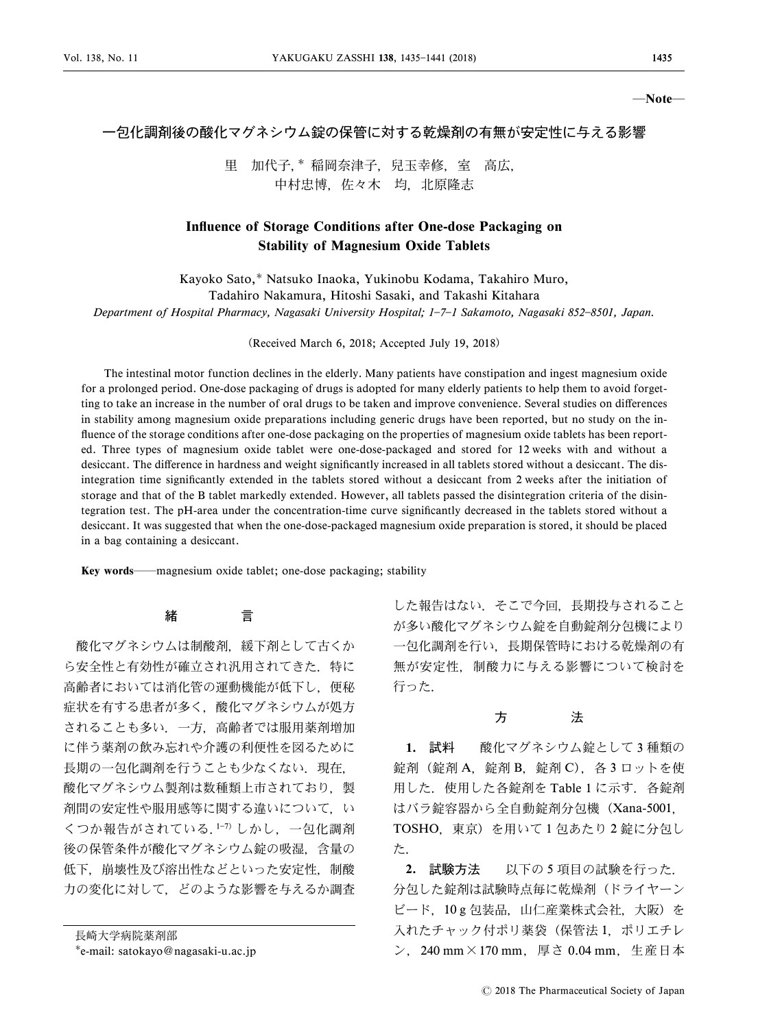―Note―

## 一包化調剤後の酸化マグネシウム錠の保管に対する乾燥剤の有無が安定性に与える影響

里 加代子, \* 稲岡奈津子, 兒玉幸修, 室 高広, 中村忠博,佐々木 均,北原隆志

## Influence of Storage Conditions after One-dose Packaging on Stability of Magnesium Oxide Tablets

Kayoko Sato,\* Natsuko Inaoka, Yukinobu Kodama, Takahiro Muro, Tadahiro Nakamura, Hitoshi Sasaki, and Takashi Kitahara Department of Hospital Pharmacy, Nagasaki University Hospital; 1-7-1 Sakamoto, Nagasaki 852-8501, Japan.

(Received March 6, 2018; Accepted July 19, 2018)

The intestinal motor function declines in the elderly. Many patients have constipation and ingest magnesium oxide for a prolonged period. One-dose packaging of drugs is adopted for many elderly patients to help them to avoid forgetting to take an increase in the number of oral drugs to be taken and improve convenience. Several studies on differences in stability among magnesium oxide preparations including generic drugs have been reported, but no study on the in fluence of the storage conditions after one-dose packaging on the properties of magnesium oxide tablets has been reported. Three types of magnesium oxide tablet were one-dose-packaged and stored for 12 weeks with and without a desiccant. The difference in hardness and weight significantly increased in all tablets stored without a desiccant. The disintegration time significantly extended in the tablets stored without a desiccant from 2 weeks after the initiation of storage and that of the B tablet markedly extended. However, all tablets passed the disintegration criteria of the disintegration test. The pH-area under the concentration-time curve significantly decreased in the tablets stored without a desiccant. It was suggested that when the one-dose-packaged magnesium oxide preparation is stored, it should be placed in a bag containing a desiccant.

Key words―magnesium oxide tablet; one-dose packaging; stability

緒 言

酸化マグネシウムは制酸剤、緩下剤として古くか ら安全性と有効性が確立され汎用されてきた.特に 高齢者においては消化管の運動機能が低下し,便秘 症状を有する患者が多く,酸化マグネシウムが処方 されることも多い.一方,高齢者では服用薬剤増加 に伴う薬剤の飲み忘れや介護の利便性を図るために 長期の一包化調剤を行うことも少なくない.現在, 酸化マグネシウム製剤は数種類上市されており、製 剤間の安定性や服用感等に関する違いについて,い くつか報告がされている.17) しかし,一包化調剤 後の保管条件が酸化マグネシウム錠の吸湿,含量の 低下、崩壊性及び溶出性などといった安定性、制酸 力の変化に対して,どのような影響を与えるか調査

した報告はない.そこで今回,長期投与されること が多い酸化マグネシウム錠を自動錠剤分包機により 一包化調剤を行い,長期保管時における乾燥剤の有 無が安定性,制酸力に与える影響について検討を 行った.

## 方 法

1. 試料 酸化マグネシウム錠として3種類の 錠剤 (錠剤 A, 錠剤 B, 錠剤 C), 各 3 ロットを使 用した. 使用した各錠剤を Table 1 に示す. 各錠剤 はバラ錠容器から全自動錠剤分包機(Xana-5001, TOSHO,東京)を用いて 1 包あたり 2 錠に分包し た.

2. 試験方法 以下の 5 項目の試験を行った. 分包した錠剤は試験時点毎に乾燥剤(ドライヤーン ビード,10 g 包装品,山仁産業株式会社,大阪)を 入れたチャック付ポリ薬袋(保管法1,ポリエチレ ン,240 mm×170 mm,厚さ 0.04 mm,生産日本

長崎大学病院薬剤部

e-mail: satokayo@nagasaki-u.ac.jp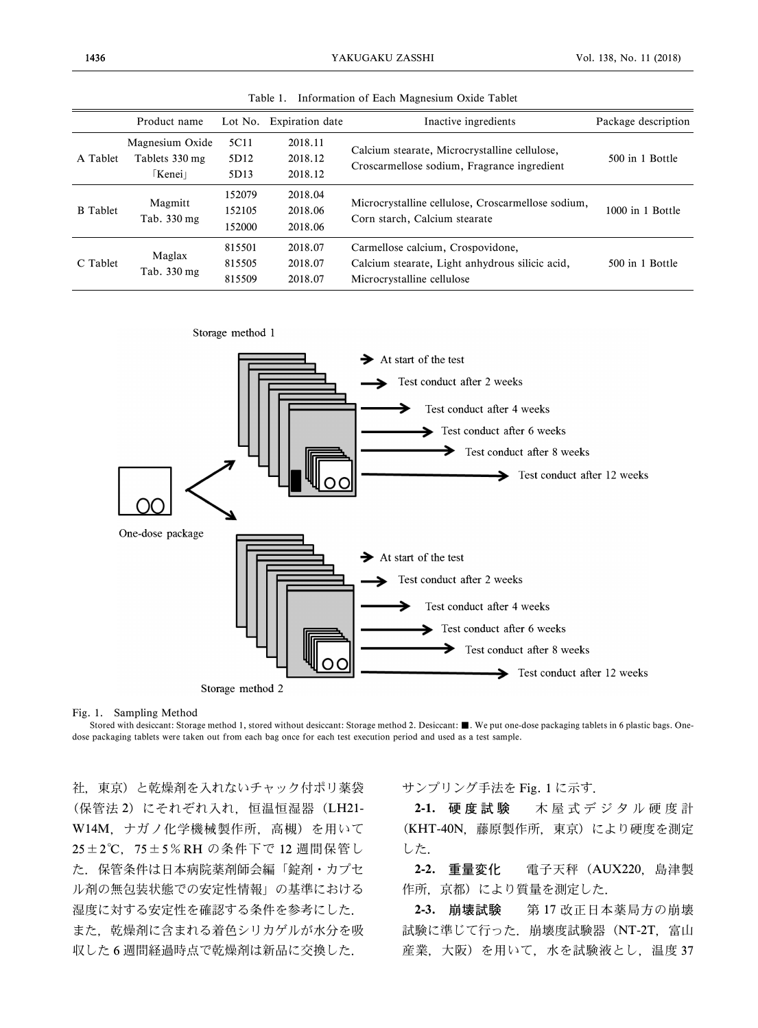|                 | Product name                                      |                                  | Lot No. Expiration date       | Inactive ingredients                                                                                               | Package description |
|-----------------|---------------------------------------------------|----------------------------------|-------------------------------|--------------------------------------------------------------------------------------------------------------------|---------------------|
| A Tablet        | Magnesium Oxide<br>Tablets 330 mg<br><b>Kenei</b> | 5C11<br>5D <sub>12</sub><br>5D13 | 2018.11<br>2018.12<br>2018.12 | Calcium stearate, Microcrystalline cellulose,<br>Croscarmellose sodium, Fragrance ingredient                       | 500 in 1 Bottle     |
| <b>B</b> Tablet | Magmitt<br>Tab. 330 mg                            | 152079<br>152105<br>152000       | 2018.04<br>2018.06<br>2018.06 | Microcrystalline cellulose, Croscarmellose sodium,<br>Corn starch, Calcium stearate                                | 1000 in 1 Bottle    |
| C Tablet        | Maglax<br>Tab. 330 mg                             | 815501<br>815505<br>815509       | 2018.07<br>2018.07<br>2018.07 | Carmellose calcium, Crospovidone,<br>Calcium stearate, Light anhydrous silicic acid,<br>Microcrystalline cellulose | 500 in 1 Bottle     |

Table 1. Information of Each Magnesium Oxide Tablet



Fig. 1. Sampling Method

Stored with desiccant: Storage method 1, stored without desiccant: Storage method 2. Desiccant: ■. We put one-dose packaging tablets in 6 plastic bags. Onedose packaging tablets were taken out from each bag once for each test execution period and used as a test sample.

社,東京)と乾燥剤を入れないチャック付ポリ薬袋 (保管法 2) にそれぞれ入れ、恒温恒湿器 (LH21-W14M,ナガノ化学機械製作所,高槻)を用いて 25±2℃, 75±5%RH の条件下で 12 週間保管し た.保管条件は日本病院薬剤師会編「錠剤・カプセ ル剤の無包装状態での安定性情報」の基準における 湿度に対する安定性を確認する条件を参考にした. また,乾燥剤に含まれる着色シリカゲルが水分を吸 収した 6 週間経過時点で乾燥剤は新品に交換した.

サンプリング手法を Fig. 1 に示す.

2-1. 硬度試験 木屋式デジタル硬度計 (KHT-40N,藤原製作所,東京)により硬度を測定 した.

2-2. 重量変化 電子天秤(AUX220,島津製 作所、京都)により質量を測定した.

2-3. 崩壊試験 第17改正日本薬局方の崩壊 試験に準じて行った. 崩壊度試験器 (NT-2T, 富山 産業,大阪)を用いて,水を試験液とし,温度 37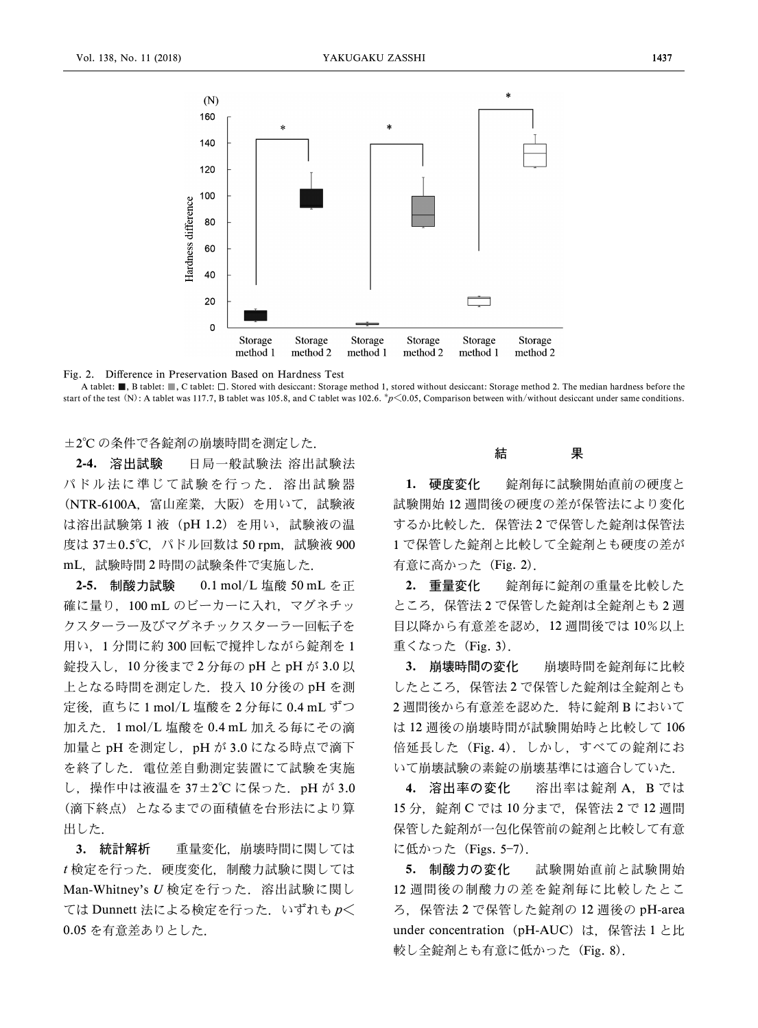

Fig. 2. Difference in Preservation Based on Hardness Test

A tablet: ■, B tablet: ■, C tablet: □. Stored with desiccant: Storage method 1, stored without desiccant: Storage method 2. The median hardness before the start of the test (N): A tablet was 117.7, B tablet was 105.8, and C tablet was 102.6. \* $p<0.05$ , Comparison between with/without desiccant under same conditions.

±2°C の条件で各錠剤の崩壊時間を測定した.

2-4. 溶出試験 日局一般試験法 溶出試験法 パドル法に準じて試験を行った.溶出試験器 (NTR-6100A,富山産業,大阪)を用いて,試験液 は溶出試験第1液 (pH 1.2) を用い, 試験液の温 度は 37±0.5℃, パドル回数は 50 rpm, 試験液 900 mL,試験時間 2 時間の試験条件で実施した.

2-5. 制酸力試験 0.1 mol/L 塩酸 50 mL を正 確に量り, 100 mL のビーカーに入れ、マグネチッ クスターラー及びマグネチックスターラー回転子を 用い,1 分間に約 300 回転で撹拌しながら錠剤を 1 錠投入し,10 分後まで 2 分毎の pH と pH が 3.0 以 上となる時間を測定した. 投入 10 分後の pH を測 定後,直ちに 1 mol/L 塩酸を 2 分毎に 0.4 mL ずつ 加えた.1 mol/L 塩酸を 0.4 mL 加える毎にその滴 加量と pH を測定し,pH が 3.0 になる時点で滴下 を終了した.電位差自動測定装置にて試験を実施 し,操作中は液温を 37±2°C に保った.pH が 3.0 (滴下終点)となるまでの面積値を台形法により算 出した.

3. 統計解析 重量変化, 崩壊時間に関しては t 検定を行った. 硬度変化. 制酸力試験に関しては Man-Whitney's U 検定を行った. 溶出試験に関し ては Dunnett 法による検定を行った. いずれも  $p$ < 0.05 を有意差ありとした.

結 果

1. 硬度変化 - 錠剤毎に試験開始直前の硬度と 試験開始 12 週間後の硬度の差が保管法により変化 するか比較した.保管法 2 で保管した錠剤は保管法 1 で保管した錠剤と比較して全錠剤とも硬度の差が 有意に高かった(Fig. 2).

2. 重量変化 - 錠剤毎に錠剤の重量を比較した ところ,保管法 2 で保管した錠剤は全錠剤とも 2 週 目以降から有意差を認め,12 週間後では 10%以上 重くなった(Fig. 3).

3. 崩壊時間の変化 崩壊時間を錠剤毎に比較 したところ,保管法 2 で保管した錠剤は全錠剤とも 2 週間後から有意差を認めた. 特に錠剤 B において は 12 週後の崩壊時間が試験開始時と比較して 106 倍延長した (Fig. 4). しかし、すべての錠剤にお いて崩壊試験の素錠の崩壊基準には適合していた.

4. 溶出率の変化 溶出率は錠剤 A,B では 15分, 錠剤 C では 10 分まで, 保管法 2 で 12 週間 保管した錠剤が一包化保管前の錠剤と比較して有意 に低かった (Figs. 5-7).

5. 制酸力の変化 試験開始直前と試験開始 12 週間後の制酸力の差を錠剤毎に比較したとこ ろ,保管法 2 で保管した錠剤の 12 週後の pH-area under concentration (pH-AUC) は、保管法 1 と比 較し全錠剤とも有意に低かった (Fig. 8).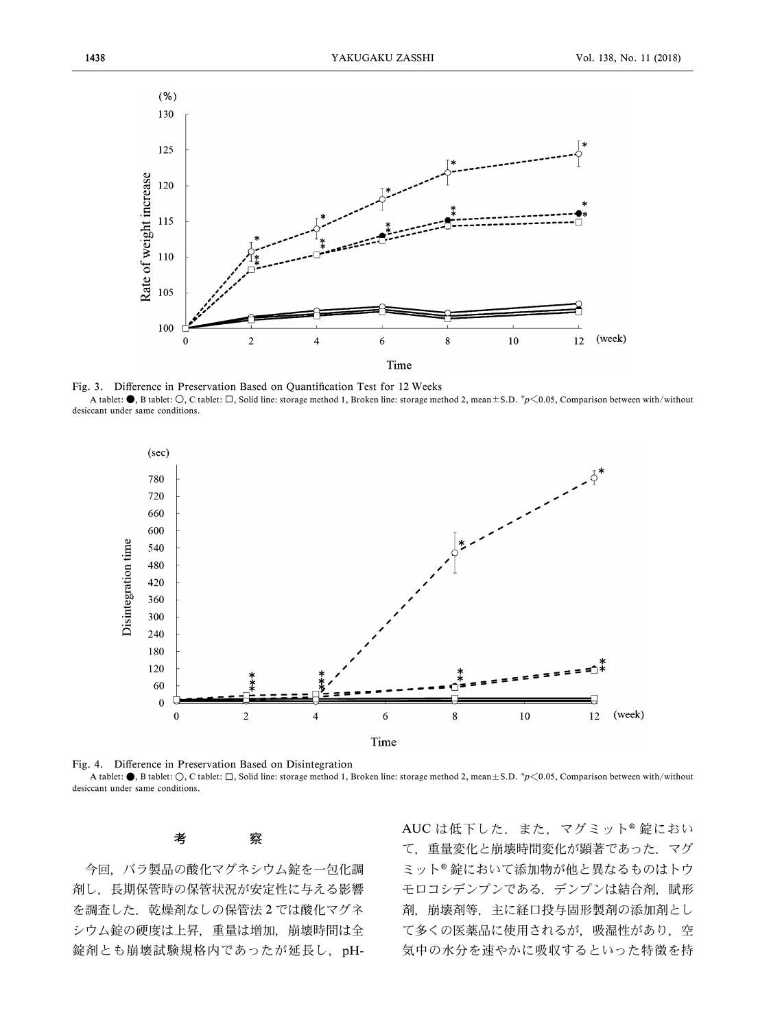

Fig. 3. Difference in Preservation Based on Quantification Test for 12 Weeks A tablet:  $\bullet$ , B tablet:  $\circlearrowright$ , C tablet:  $\Box$ , Solid line: storage method 1, Broken line: storage method 2, mean±S.D.  $^*p\leq 0.05$ , Comparison between with/without desiccant under same conditions.



Fig. 4. Difference in Preservation Based on Disintegration A tablet:  $\bullet$ , B tablet:  $\bigcirc$ , C tablet:  $\Box$ , Solid line: storage method 1, Broken line: storage method 2, mean±S.D. \*p<0.05, Comparison between with/without desiccant under same conditions.

考 察

今回,バラ製品の酸化マグネシウム錠を一包化調 剤し,長期保管時の保管状況が安定性に与える影響 を調査した. 乾燥剤なしの保管法2では酸化マグネ シウム錠の硬度は上昇,重量は増加,崩壊時間は全 錠剤とも崩壊試験規格内であったが延長し,pH- AUCは低下した. また、マグミット®錠におい て,重量変化と崩壊時間変化が顕著であった.マグ ミット®錠において添加物が他と異なるものはトウ モロコシデンプンである. デンプンは結合剤, 賦形 剤,崩壊剤等,主に経口投与固形製剤の添加剤とし て多くの医薬品に使用されるが、吸湿性があり、空 気中の水分を速やかに吸収するといった特徴を持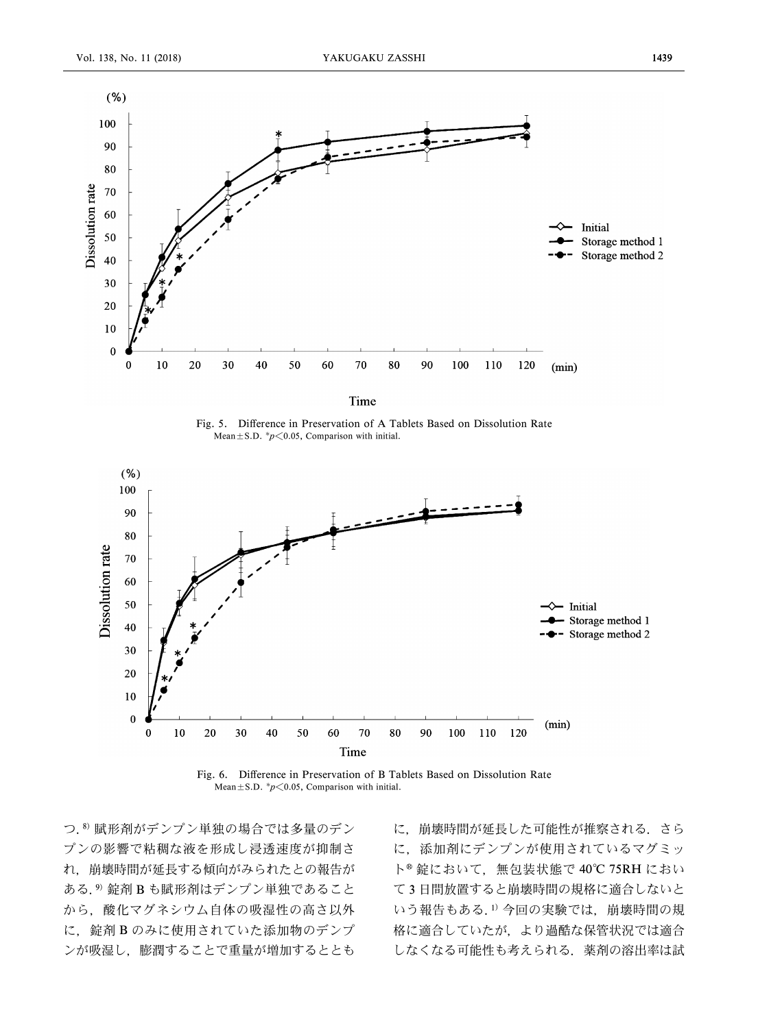

Time

Fig. 5. Difference in Preservation of A Tablets Based on Dissolution Rate Mean  $\pm$  S.D. \* $p$  < 0.05, Comparison with initial.





つ.8) 賦形剤がデンプン単独の場合では多量のデン プンの影響で粘稠な液を形成し浸透速度が抑制さ れ,崩壊時間が延長する傾向がみられたとの報告が ある.9) 錠剤 B も賦形剤はデンプン単独であること から,酸化マグネシウム自体の吸湿性の高さ以外 に、錠剤 B のみに使用されていた添加物のデンプ ンが吸湿し,膨潤することで重量が増加するととも

に,崩壊時間が延長した可能性が推察される.さら に,添加剤にデンプンが使用されているマグミッ ト<sup>®</sup>錠において、無包装状態で 40℃ 75RH におい て 3 日間放置すると崩壊時間の規格に適合しないと いう報告もある.1) 今回の実験では、崩壊時間の規 格に適合していたが,より過酷な保管状況では適合 しなくなる可能性も考えられる.薬剤の溶出率は試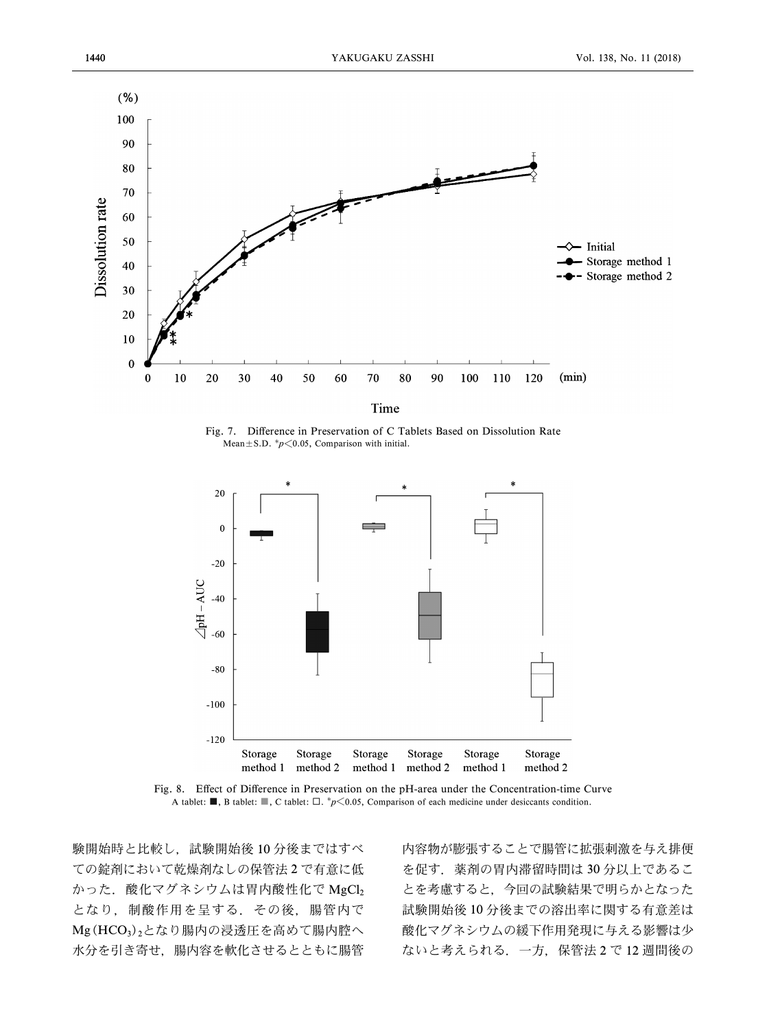

Fig. 7. Difference in Preservation of C Tablets Based on Dissolution Rate Mean $\pm$ S.D.  $p$  < 0.05, Comparison with initial.



Fig. 8. Effect of Difference in Preservation on the pH-area under the Concentration-time Curve A tablet: **■**, B tablet: ■, C tablet: □.  $^*p \le 0.05$ , Comparison of each medicine under desiccants condition.

験開始時と比較し,試験開始後 10 分後まではすべ ての錠剤において乾燥剤なしの保管法 2 で有意に低 かった. 酸化マグネシウムは胃内酸性化で MgCl2 となり,制酸作用を呈する.その後,腸管内で Mg(HCO<sub>3</sub>)<sub>2</sub>となり腸内の浸透圧を高めて腸内腔へ 水分を引き寄せ,腸内容を軟化させるとともに腸管

内容物が膨張することで腸管に拡張刺激を与え排便 を促す. 薬剤の胃内滞留時間は 30 分以上であるこ とを考慮すると,今回の試験結果で明らかとなった 試験開始後 10 分後までの溶出率に関する有意差は 酸化マグネシウムの緩下作用発現に与える影響は少 ないと考えられる.一方,保管法 2 で 12 週間後の